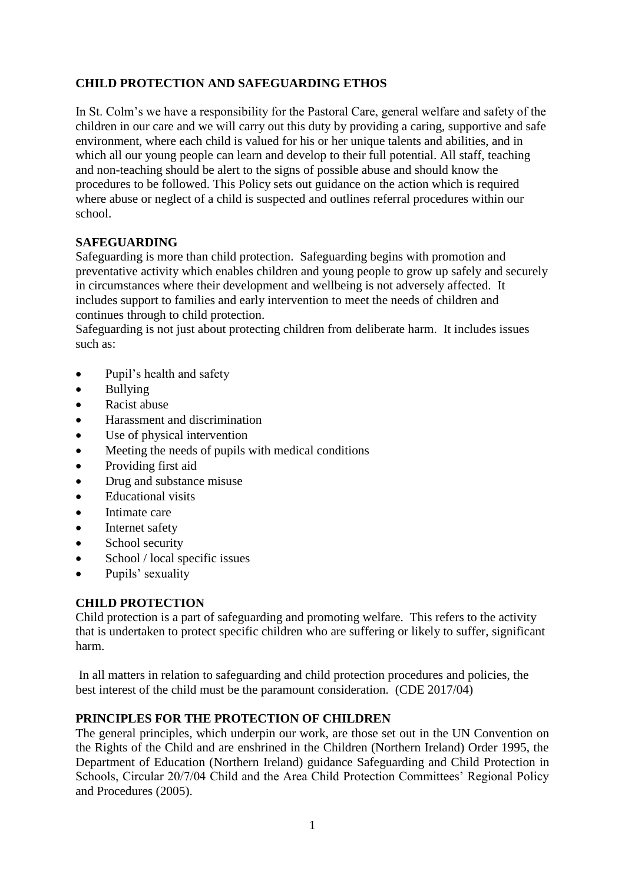# **CHILD PROTECTION AND SAFEGUARDING ETHOS**

In St. Colm's we have a responsibility for the Pastoral Care, general welfare and safety of the children in our care and we will carry out this duty by providing a caring, supportive and safe environment, where each child is valued for his or her unique talents and abilities, and in which all our young people can learn and develop to their full potential. All staff, teaching and non-teaching should be alert to the signs of possible abuse and should know the procedures to be followed. This Policy sets out guidance on the action which is required where abuse or neglect of a child is suspected and outlines referral procedures within our school.

#### **SAFEGUARDING**

Safeguarding is more than child protection. Safeguarding begins with promotion and preventative activity which enables children and young people to grow up safely and securely in circumstances where their development and wellbeing is not adversely affected. It includes support to families and early intervention to meet the needs of children and continues through to child protection.

Safeguarding is not just about protecting children from deliberate harm. It includes issues such as:

- Pupil's health and safety
- Bullying
- Racist abuse
- Harassment and discrimination
- Use of physical intervention
- Meeting the needs of pupils with medical conditions
- Providing first aid
- Drug and substance misuse
- Educational visits
- Intimate care
- Internet safety
- School security
- School / local specific issues
- Pupils' sexuality

#### **CHILD PROTECTION**

Child protection is a part of safeguarding and promoting welfare. This refers to the activity that is undertaken to protect specific children who are suffering or likely to suffer, significant harm.

In all matters in relation to safeguarding and child protection procedures and policies, the best interest of the child must be the paramount consideration. (CDE 2017/04)

#### **PRINCIPLES FOR THE PROTECTION OF CHILDREN**

The general principles, which underpin our work, are those set out in the UN Convention on the Rights of the Child and are enshrined in the Children (Northern Ireland) Order 1995, the Department of Education (Northern Ireland) guidance Safeguarding and Child Protection in Schools, Circular 20/7/04 Child and the Area Child Protection Committees' Regional Policy and Procedures (2005).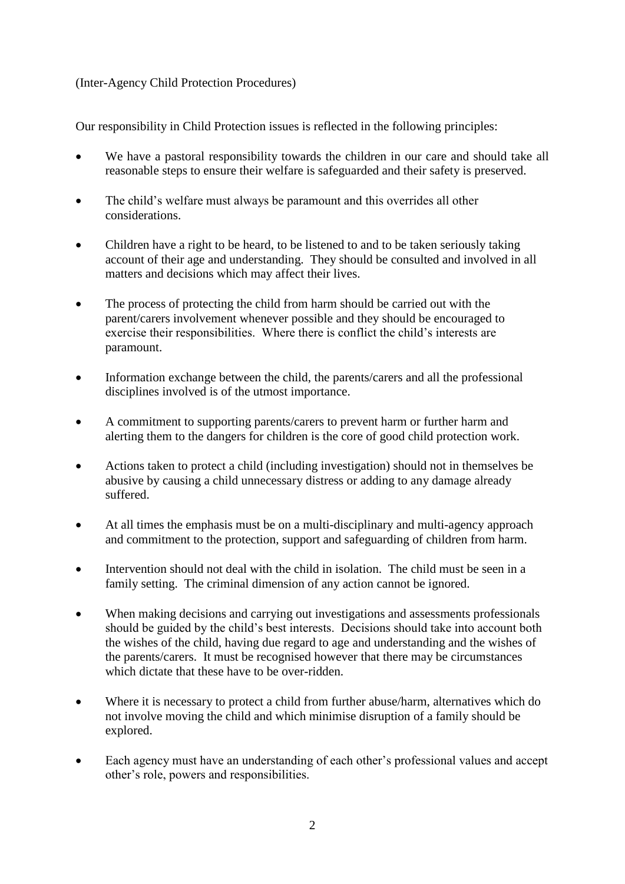#### (Inter-Agency Child Protection Procedures)

Our responsibility in Child Protection issues is reflected in the following principles:

- We have a pastoral responsibility towards the children in our care and should take all reasonable steps to ensure their welfare is safeguarded and their safety is preserved.
- The child's welfare must always be paramount and this overrides all other considerations.
- Children have a right to be heard, to be listened to and to be taken seriously taking account of their age and understanding. They should be consulted and involved in all matters and decisions which may affect their lives.
- The process of protecting the child from harm should be carried out with the parent/carers involvement whenever possible and they should be encouraged to exercise their responsibilities. Where there is conflict the child's interests are paramount.
- Information exchange between the child, the parents/carers and all the professional disciplines involved is of the utmost importance.
- A commitment to supporting parents/carers to prevent harm or further harm and alerting them to the dangers for children is the core of good child protection work.
- Actions taken to protect a child (including investigation) should not in themselves be abusive by causing a child unnecessary distress or adding to any damage already suffered.
- At all times the emphasis must be on a multi-disciplinary and multi-agency approach and commitment to the protection, support and safeguarding of children from harm.
- Intervention should not deal with the child in isolation. The child must be seen in a family setting. The criminal dimension of any action cannot be ignored.
- When making decisions and carrying out investigations and assessments professionals should be guided by the child's best interests. Decisions should take into account both the wishes of the child, having due regard to age and understanding and the wishes of the parents/carers. It must be recognised however that there may be circumstances which dictate that these have to be over-ridden.
- Where it is necessary to protect a child from further abuse/harm, alternatives which do not involve moving the child and which minimise disruption of a family should be explored.
- Each agency must have an understanding of each other's professional values and accept other's role, powers and responsibilities.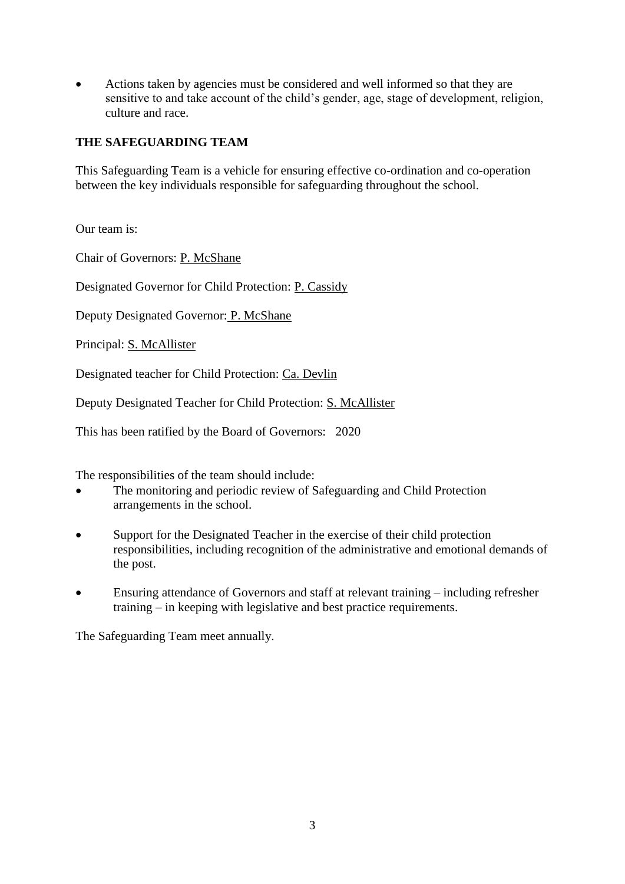Actions taken by agencies must be considered and well informed so that they are sensitive to and take account of the child's gender, age, stage of development, religion, culture and race.

#### **THE SAFEGUARDING TEAM**

This Safeguarding Team is a vehicle for ensuring effective co-ordination and co-operation between the key individuals responsible for safeguarding throughout the school.

Our team is:

Chair of Governors: P. McShane

Designated Governor for Child Protection: P. Cassidy

Deputy Designated Governor: P. McShane

Principal: S. McAllister

Designated teacher for Child Protection: Ca. Devlin

Deputy Designated Teacher for Child Protection: S. McAllister

This has been ratified by the Board of Governors: 2020

The responsibilities of the team should include:

- The monitoring and periodic review of Safeguarding and Child Protection arrangements in the school.
- Support for the Designated Teacher in the exercise of their child protection responsibilities, including recognition of the administrative and emotional demands of the post.
- Ensuring attendance of Governors and staff at relevant training including refresher training – in keeping with legislative and best practice requirements.

The Safeguarding Team meet annually.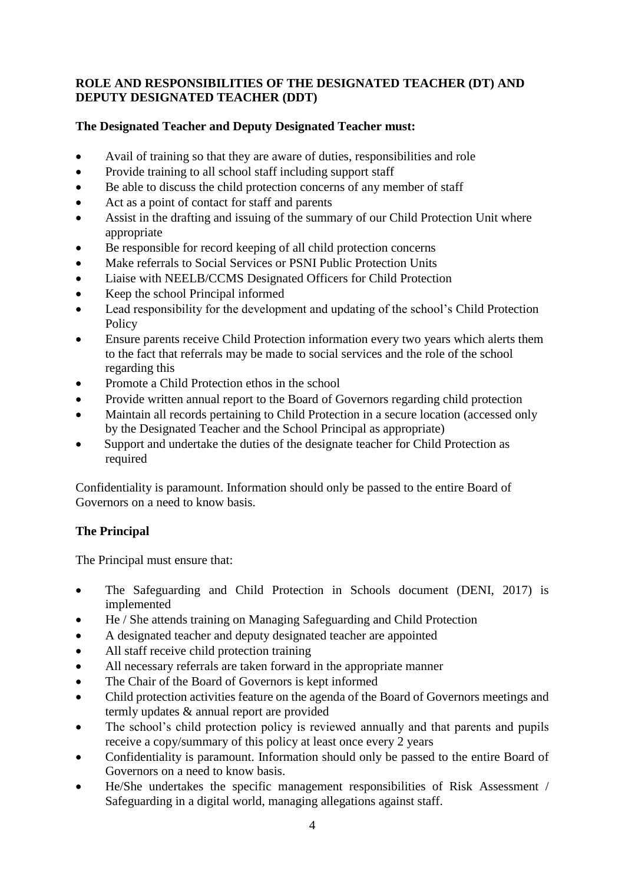### **ROLE AND RESPONSIBILITIES OF THE DESIGNATED TEACHER (DT) AND DEPUTY DESIGNATED TEACHER (DDT)**

# **The Designated Teacher and Deputy Designated Teacher must:**

- Avail of training so that they are aware of duties, responsibilities and role
- Provide training to all school staff including support staff
- Be able to discuss the child protection concerns of any member of staff
- Act as a point of contact for staff and parents
- Assist in the drafting and issuing of the summary of our Child Protection Unit where appropriate
- Be responsible for record keeping of all child protection concerns
- Make referrals to Social Services or PSNI Public Protection Units
- Liaise with NEELB/CCMS Designated Officers for Child Protection
- Keep the school Principal informed
- Lead responsibility for the development and updating of the school's Child Protection Policy
- Ensure parents receive Child Protection information every two years which alerts them to the fact that referrals may be made to social services and the role of the school regarding this
- Promote a Child Protection ethos in the school
- Provide written annual report to the Board of Governors regarding child protection
- Maintain all records pertaining to Child Protection in a secure location (accessed only by the Designated Teacher and the School Principal as appropriate)
- Support and undertake the duties of the designate teacher for Child Protection as required

Confidentiality is paramount. Information should only be passed to the entire Board of Governors on a need to know basis.

#### **The Principal**

The Principal must ensure that:

- The Safeguarding and Child Protection in Schools document (DENI, 2017) is implemented
- He / She attends training on Managing Safeguarding and Child Protection
- A designated teacher and deputy designated teacher are appointed
- All staff receive child protection training
- All necessary referrals are taken forward in the appropriate manner
- The Chair of the Board of Governors is kept informed
- Child protection activities feature on the agenda of the Board of Governors meetings and termly updates & annual report are provided
- The school's child protection policy is reviewed annually and that parents and pupils receive a copy/summary of this policy at least once every 2 years
- Confidentiality is paramount. Information should only be passed to the entire Board of Governors on a need to know basis.
- He/She undertakes the specific management responsibilities of Risk Assessment / Safeguarding in a digital world, managing allegations against staff.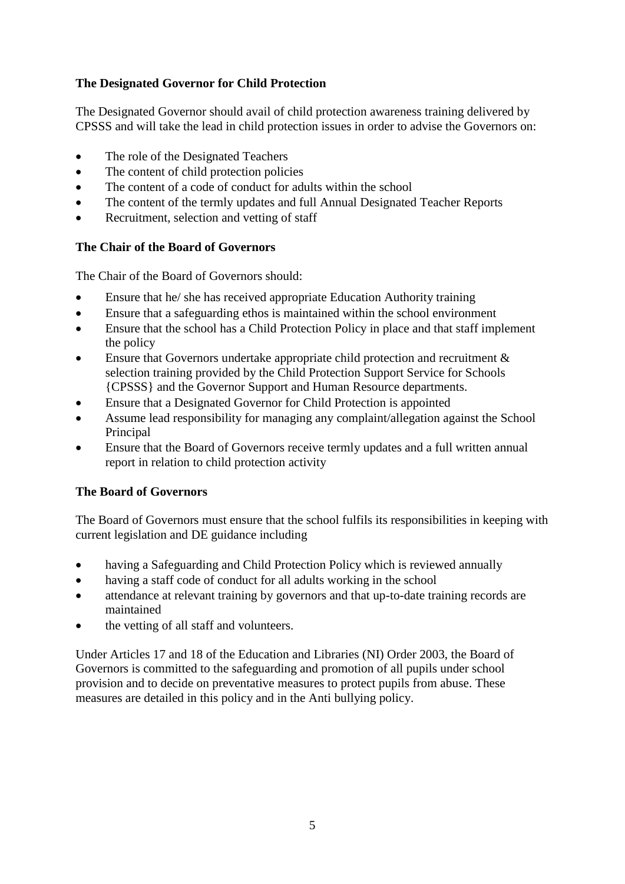# **The Designated Governor for Child Protection**

The Designated Governor should avail of child protection awareness training delivered by CPSSS and will take the lead in child protection issues in order to advise the Governors on:

- The role of the Designated Teachers
- The content of child protection policies
- The content of a code of conduct for adults within the school
- The content of the termly updates and full Annual Designated Teacher Reports
- Recruitment, selection and vetting of staff

#### **The Chair of the Board of Governors**

The Chair of the Board of Governors should:

- Ensure that he/ she has received appropriate Education Authority training
- Ensure that a safeguarding ethos is maintained within the school environment
- Ensure that the school has a Child Protection Policy in place and that staff implement the policy
- Ensure that Governors undertake appropriate child protection and recruitment & selection training provided by the Child Protection Support Service for Schools {CPSSS} and the Governor Support and Human Resource departments.
- Ensure that a Designated Governor for Child Protection is appointed
- Assume lead responsibility for managing any complaint/allegation against the School Principal
- Ensure that the Board of Governors receive termly updates and a full written annual report in relation to child protection activity

# **The Board of Governors**

The Board of Governors must ensure that the school fulfils its responsibilities in keeping with current legislation and DE guidance including

- having a Safeguarding and Child Protection Policy which is reviewed annually
- having a staff code of conduct for all adults working in the school
- attendance at relevant training by governors and that up-to-date training records are maintained
- the vetting of all staff and volunteers.

Under Articles 17 and 18 of the Education and Libraries (NI) Order 2003, the Board of Governors is committed to the safeguarding and promotion of all pupils under school provision and to decide on preventative measures to protect pupils from abuse. These measures are detailed in this policy and in the Anti bullying policy.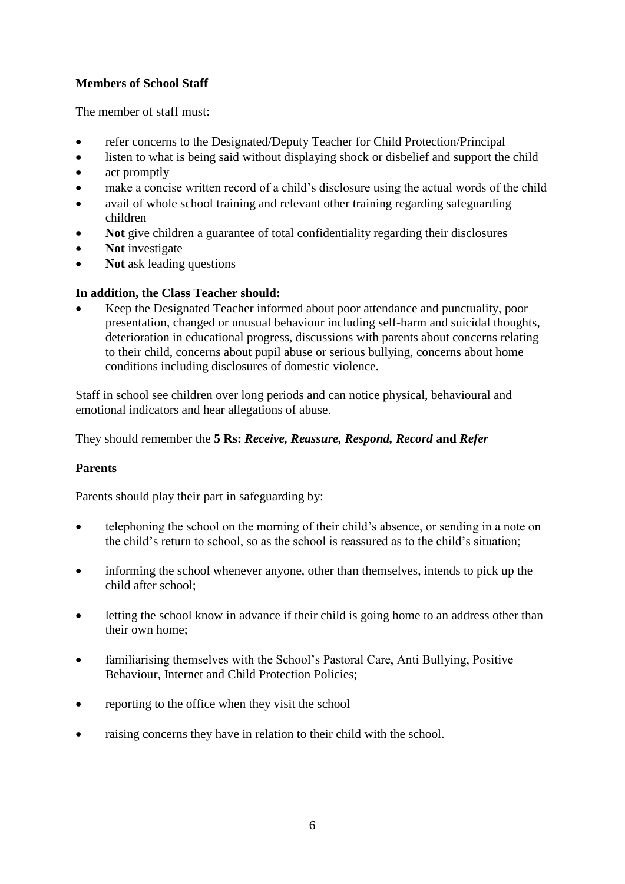# **Members of School Staff**

The member of staff must:

- refer concerns to the Designated/Deputy Teacher for Child Protection/Principal
- listen to what is being said without displaying shock or disbelief and support the child
- act promptly
- make a concise written record of a child's disclosure using the actual words of the child
- avail of whole school training and relevant other training regarding safeguarding children
- **Not** give children a guarantee of total confidentiality regarding their disclosures
- **Not** investigate
- **Not** ask leading questions

#### **In addition, the Class Teacher should:**

 Keep the Designated Teacher informed about poor attendance and punctuality, poor presentation, changed or unusual behaviour including self-harm and suicidal thoughts, deterioration in educational progress, discussions with parents about concerns relating to their child, concerns about pupil abuse or serious bullying, concerns about home conditions including disclosures of domestic violence.

Staff in school see children over long periods and can notice physical, behavioural and emotional indicators and hear allegations of abuse.

They should remember the **5 Rs:** *Receive, Reassure, Respond, Record* **and** *Refer*

#### **Parents**

Parents should play their part in safeguarding by:

- telephoning the school on the morning of their child's absence, or sending in a note on the child's return to school, so as the school is reassured as to the child's situation;
- informing the school whenever anyone, other than themselves, intends to pick up the child after school;
- letting the school know in advance if their child is going home to an address other than their own home;
- familiarising themselves with the School's Pastoral Care, Anti Bullying, Positive Behaviour, Internet and Child Protection Policies;
- reporting to the office when they visit the school
- raising concerns they have in relation to their child with the school.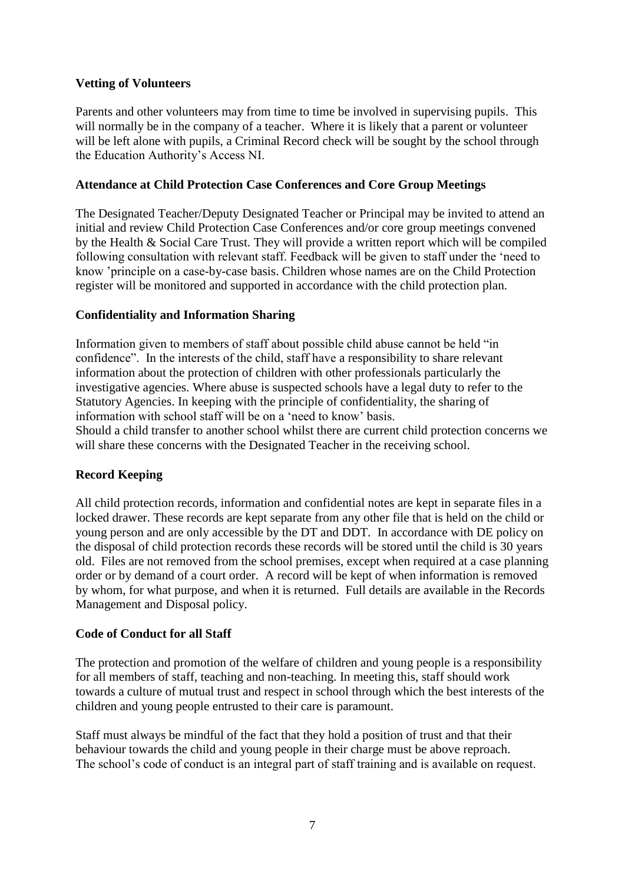#### **Vetting of Volunteers**

Parents and other volunteers may from time to time be involved in supervising pupils. This will normally be in the company of a teacher. Where it is likely that a parent or volunteer will be left alone with pupils, a Criminal Record check will be sought by the school through the Education Authority's Access NI.

#### **Attendance at Child Protection Case Conferences and Core Group Meetings**

The Designated Teacher/Deputy Designated Teacher or Principal may be invited to attend an initial and review Child Protection Case Conferences and/or core group meetings convened by the Health & Social Care Trust. They will provide a written report which will be compiled following consultation with relevant staff. Feedback will be given to staff under the 'need to know 'principle on a case-by-case basis. Children whose names are on the Child Protection register will be monitored and supported in accordance with the child protection plan.

#### **Confidentiality and Information Sharing**

Information given to members of staff about possible child abuse cannot be held "in confidence". In the interests of the child, staff have a responsibility to share relevant information about the protection of children with other professionals particularly the investigative agencies. Where abuse is suspected schools have a legal duty to refer to the Statutory Agencies. In keeping with the principle of confidentiality, the sharing of information with school staff will be on a 'need to know' basis.

Should a child transfer to another school whilst there are current child protection concerns we will share these concerns with the Designated Teacher in the receiving school.

# **Record Keeping**

All child protection records, information and confidential notes are kept in separate files in a locked drawer. These records are kept separate from any other file that is held on the child or young person and are only accessible by the DT and DDT*.* In accordance with DE policy on the disposal of child protection records these records will be stored until the child is 30 years old. Files are not removed from the school premises, except when required at a case planning order or by demand of a court order. A record will be kept of when information is removed by whom, for what purpose, and when it is returned. Full details are available in the Records Management and Disposal policy.

#### **Code of Conduct for all Staff**

The protection and promotion of the welfare of children and young people is a responsibility for all members of staff, teaching and non-teaching. In meeting this, staff should work towards a culture of mutual trust and respect in school through which the best interests of the children and young people entrusted to their care is paramount.

Staff must always be mindful of the fact that they hold a position of trust and that their behaviour towards the child and young people in their charge must be above reproach. The school's code of conduct is an integral part of staff training and is available on request.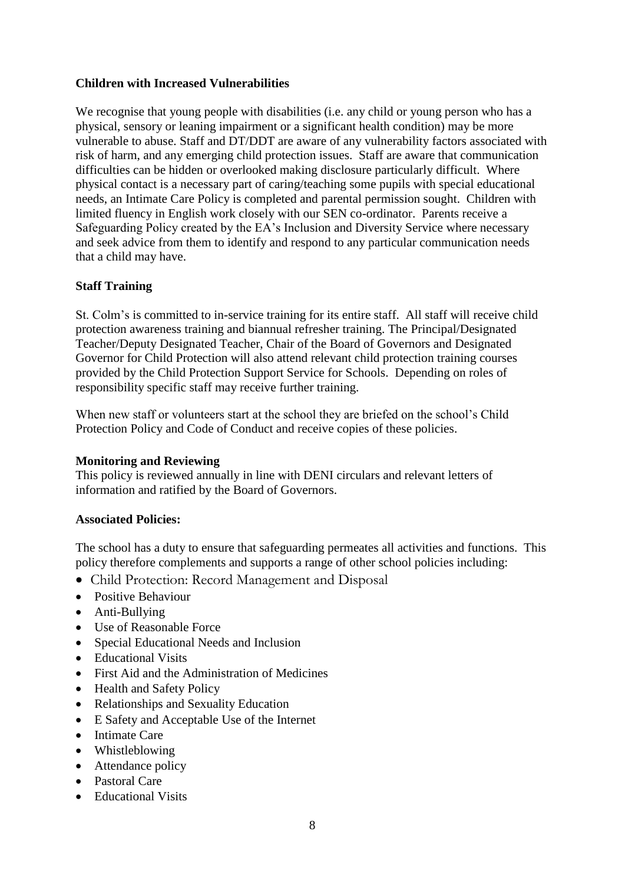### **Children with Increased Vulnerabilities**

We recognise that young people with disabilities (i.e. any child or young person who has a physical, sensory or leaning impairment or a significant health condition) may be more vulnerable to abuse. Staff and DT/DDT are aware of any vulnerability factors associated with risk of harm, and any emerging child protection issues. Staff are aware that communication difficulties can be hidden or overlooked making disclosure particularly difficult. Where physical contact is a necessary part of caring/teaching some pupils with special educational needs, an Intimate Care Policy is completed and parental permission sought. Children with limited fluency in English work closely with our SEN co-ordinator. Parents receive a Safeguarding Policy created by the EA's Inclusion and Diversity Service where necessary and seek advice from them to identify and respond to any particular communication needs that a child may have.

#### **Staff Training**

St. Colm's is committed to in-service training for its entire staff. All staff will receive child protection awareness training and biannual refresher training. The Principal/Designated Teacher/Deputy Designated Teacher, Chair of the Board of Governors and Designated Governor for Child Protection will also attend relevant child protection training courses provided by the Child Protection Support Service for Schools. Depending on roles of responsibility specific staff may receive further training.

When new staff or volunteers start at the school they are briefed on the school's Child Protection Policy and Code of Conduct and receive copies of these policies.

#### **Monitoring and Reviewing**

This policy is reviewed annually in line with DENI circulars and relevant letters of information and ratified by the Board of Governors.

#### **Associated Policies:**

The school has a duty to ensure that safeguarding permeates all activities and functions. This policy therefore complements and supports a range of other school policies including:

- Child Protection: Record Management and Disposal
- Positive Behaviour
- Anti-Bullying
- Use of Reasonable Force
- Special Educational Needs and Inclusion
- Educational Visits
- First Aid and the Administration of Medicines
- Health and Safety Policy
- Relationships and Sexuality Education
- E Safety and Acceptable Use of the Internet
- Intimate Care
- Whistleblowing
- Attendance policy
- Pastoral Care
- Educational Visits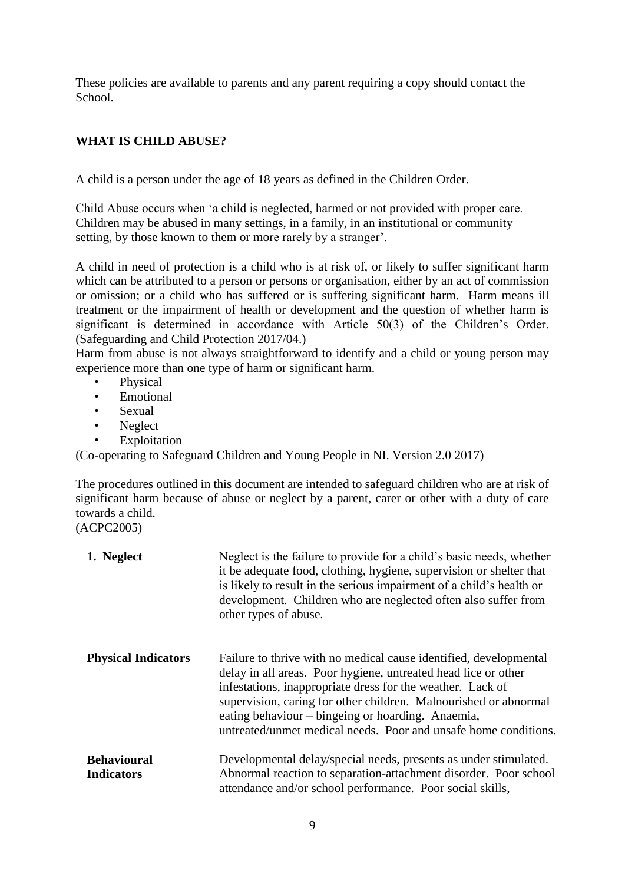These policies are available to parents and any parent requiring a copy should contact the School.

# **WHAT IS CHILD ABUSE?**

A child is a person under the age of 18 years as defined in the Children Order.

Child Abuse occurs when 'a child is neglected, harmed or not provided with proper care. Children may be abused in many settings, in a family, in an institutional or community setting, by those known to them or more rarely by a stranger'.

A child in need of protection is a child who is at risk of, or likely to suffer significant harm which can be attributed to a person or persons or organisation, either by an act of commission or omission; or a child who has suffered or is suffering significant harm. Harm means ill treatment or the impairment of health or development and the question of whether harm is significant is determined in accordance with Article 50(3) of the Children's Order. (Safeguarding and Child Protection 2017/04.)

Harm from abuse is not always straightforward to identify and a child or young person may experience more than one type of harm or significant harm.

- Physical
- **Emotional**
- Sexual
- Neglect
- **Exploitation**

(Co-operating to Safeguard Children and Young People in NI. Version 2.0 2017)

The procedures outlined in this document are intended to safeguard children who are at risk of significant harm because of abuse or neglect by a parent, carer or other with a duty of care towards a child.

(ACPC2005)

| 1. Neglect                              | Neglect is the failure to provide for a child's basic needs, whether<br>it be adequate food, clothing, hygiene, supervision or shelter that<br>is likely to result in the serious impairment of a child's health or<br>development. Children who are neglected often also suffer from<br>other types of abuse.                                                                                |
|-----------------------------------------|-----------------------------------------------------------------------------------------------------------------------------------------------------------------------------------------------------------------------------------------------------------------------------------------------------------------------------------------------------------------------------------------------|
| <b>Physical Indicators</b>              | Failure to thrive with no medical cause identified, developmental<br>delay in all areas. Poor hygiene, untreated head lice or other<br>infestations, inappropriate dress for the weather. Lack of<br>supervision, caring for other children. Malnourished or abnormal<br>eating behaviour – bingeing or hoarding. Anaemia,<br>untreated/unmet medical needs. Poor and unsafe home conditions. |
| <b>Behavioural</b><br><b>Indicators</b> | Developmental delay/special needs, presents as under stimulated.<br>Abnormal reaction to separation-attachment disorder. Poor school<br>attendance and/or school performance. Poor social skills,                                                                                                                                                                                             |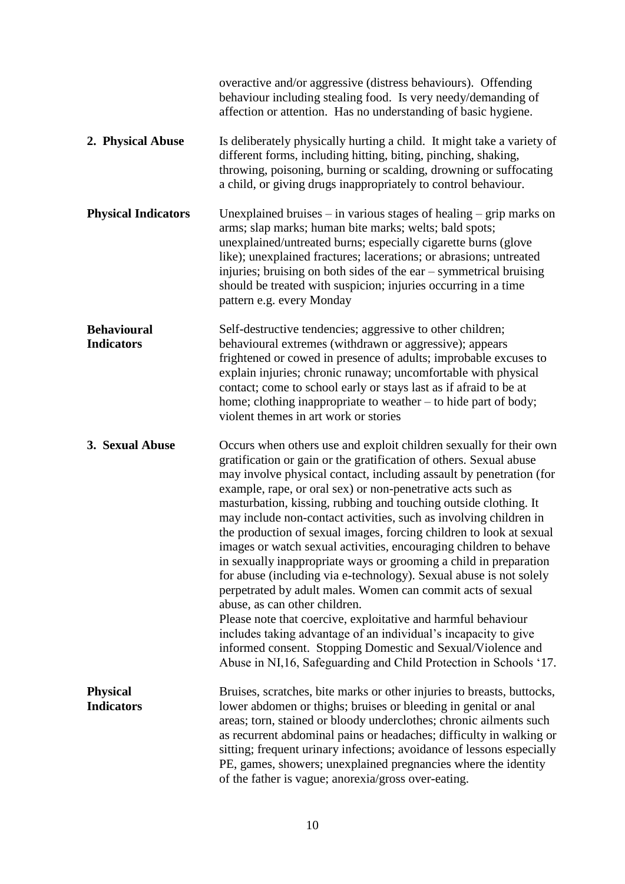|                                         | overactive and/or aggressive (distress behaviours). Offending<br>behaviour including stealing food. Is very needy/demanding of<br>affection or attention. Has no understanding of basic hygiene.                                                                                                                                                                                                                                                                                                                                                                                                                                                                                                                                                                                                                                                                                                                                                                                                                                                                                        |
|-----------------------------------------|-----------------------------------------------------------------------------------------------------------------------------------------------------------------------------------------------------------------------------------------------------------------------------------------------------------------------------------------------------------------------------------------------------------------------------------------------------------------------------------------------------------------------------------------------------------------------------------------------------------------------------------------------------------------------------------------------------------------------------------------------------------------------------------------------------------------------------------------------------------------------------------------------------------------------------------------------------------------------------------------------------------------------------------------------------------------------------------------|
| 2. Physical Abuse                       | Is deliberately physically hurting a child. It might take a variety of<br>different forms, including hitting, biting, pinching, shaking,<br>throwing, poisoning, burning or scalding, drowning or suffocating<br>a child, or giving drugs inappropriately to control behaviour.                                                                                                                                                                                                                                                                                                                                                                                                                                                                                                                                                                                                                                                                                                                                                                                                         |
| <b>Physical Indicators</b>              | Unexplained bruises – in various stages of healing – grip marks on<br>arms; slap marks; human bite marks; welts; bald spots;<br>unexplained/untreated burns; especially cigarette burns (glove<br>like); unexplained fractures; lacerations; or abrasions; untreated<br>injuries; bruising on both sides of the ear - symmetrical bruising<br>should be treated with suspicion; injuries occurring in a time<br>pattern e.g. every Monday                                                                                                                                                                                                                                                                                                                                                                                                                                                                                                                                                                                                                                               |
| <b>Behavioural</b><br><b>Indicators</b> | Self-destructive tendencies; aggressive to other children;<br>behavioural extremes (withdrawn or aggressive); appears<br>frightened or cowed in presence of adults; improbable excuses to<br>explain injuries; chronic runaway; uncomfortable with physical<br>contact; come to school early or stays last as if afraid to be at<br>home; clothing inappropriate to weather – to hide part of body;<br>violent themes in art work or stories                                                                                                                                                                                                                                                                                                                                                                                                                                                                                                                                                                                                                                            |
| 3. Sexual Abuse                         | Occurs when others use and exploit children sexually for their own<br>gratification or gain or the gratification of others. Sexual abuse<br>may involve physical contact, including assault by penetration (for<br>example, rape, or oral sex) or non-penetrative acts such as<br>masturbation, kissing, rubbing and touching outside clothing. It<br>may include non-contact activities, such as involving children in<br>the production of sexual images, forcing children to look at sexual<br>images or watch sexual activities, encouraging children to behave<br>in sexually inappropriate ways or grooming a child in preparation<br>for abuse (including via e-technology). Sexual abuse is not solely<br>perpetrated by adult males. Women can commit acts of sexual<br>abuse, as can other children.<br>Please note that coercive, exploitative and harmful behaviour<br>includes taking advantage of an individual's incapacity to give<br>informed consent. Stopping Domestic and Sexual/Violence and<br>Abuse in NI, 16, Safeguarding and Child Protection in Schools '17. |
| <b>Physical</b><br><b>Indicators</b>    | Bruises, scratches, bite marks or other injuries to breasts, buttocks,<br>lower abdomen or thighs; bruises or bleeding in genital or anal<br>areas; torn, stained or bloody underclothes; chronic ailments such<br>as recurrent abdominal pains or headaches; difficulty in walking or<br>sitting; frequent urinary infections; avoidance of lessons especially<br>PE, games, showers; unexplained pregnancies where the identity<br>of the father is vague; anorexia/gross over-eating.                                                                                                                                                                                                                                                                                                                                                                                                                                                                                                                                                                                                |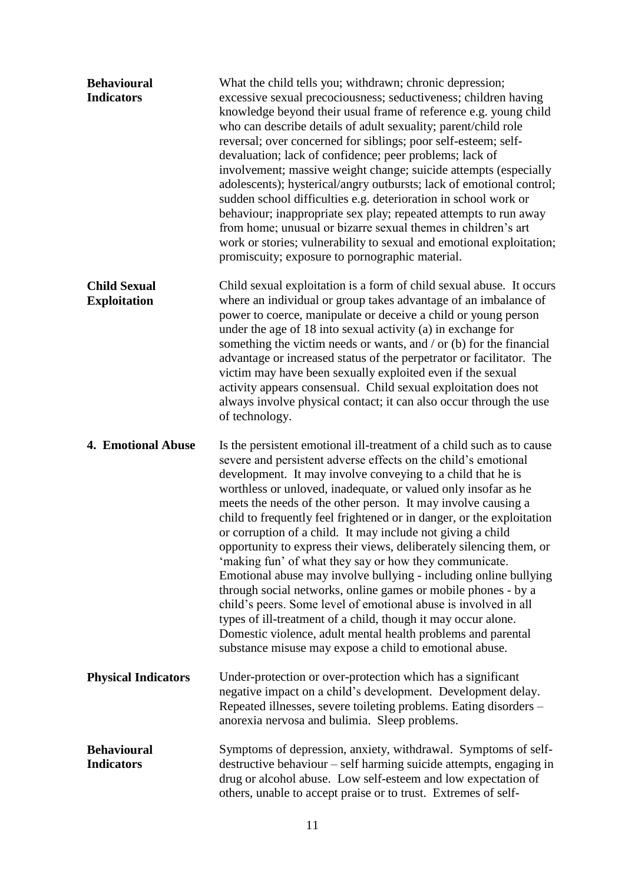| <b>Behavioural</b><br><b>Indicators</b>    | What the child tells you; withdrawn; chronic depression;<br>excessive sexual precociousness; seductiveness; children having<br>knowledge beyond their usual frame of reference e.g. young child<br>who can describe details of adult sexuality; parent/child role<br>reversal; over concerned for siblings; poor self-esteem; self-<br>devaluation; lack of confidence; peer problems; lack of<br>involvement; massive weight change; suicide attempts (especially<br>adolescents); hysterical/angry outbursts; lack of emotional control;<br>sudden school difficulties e.g. deterioration in school work or<br>behaviour; inappropriate sex play; repeated attempts to run away<br>from home; unusual or bizarre sexual themes in children's art<br>work or stories; vulnerability to sexual and emotional exploitation;<br>promiscuity; exposure to pornographic material.                                                                                                                                          |
|--------------------------------------------|------------------------------------------------------------------------------------------------------------------------------------------------------------------------------------------------------------------------------------------------------------------------------------------------------------------------------------------------------------------------------------------------------------------------------------------------------------------------------------------------------------------------------------------------------------------------------------------------------------------------------------------------------------------------------------------------------------------------------------------------------------------------------------------------------------------------------------------------------------------------------------------------------------------------------------------------------------------------------------------------------------------------|
| <b>Child Sexual</b><br><b>Exploitation</b> | Child sexual exploitation is a form of child sexual abuse. It occurs<br>where an individual or group takes advantage of an imbalance of<br>power to coerce, manipulate or deceive a child or young person<br>under the age of 18 into sexual activity (a) in exchange for<br>something the victim needs or wants, and $/$ or (b) for the financial<br>advantage or increased status of the perpetrator or facilitator. The<br>victim may have been sexually exploited even if the sexual<br>activity appears consensual. Child sexual exploitation does not<br>always involve physical contact; it can also occur through the use<br>of technology.                                                                                                                                                                                                                                                                                                                                                                    |
| 4. Emotional Abuse                         | Is the persistent emotional ill-treatment of a child such as to cause<br>severe and persistent adverse effects on the child's emotional<br>development. It may involve conveying to a child that he is<br>worthless or unloved, inadequate, or valued only insofar as he<br>meets the needs of the other person. It may involve causing a<br>child to frequently feel frightened or in danger, or the exploitation<br>or corruption of a child. It may include not giving a child<br>opportunity to express their views, deliberately silencing them, or<br>'making fun' of what they say or how they communicate.<br>Emotional abuse may involve bullying - including online bullying<br>through social networks, online games or mobile phones - by a<br>child's peers. Some level of emotional abuse is involved in all<br>types of ill-treatment of a child, though it may occur alone.<br>Domestic violence, adult mental health problems and parental<br>substance misuse may expose a child to emotional abuse. |
| <b>Physical Indicators</b>                 | Under-protection or over-protection which has a significant<br>negative impact on a child's development. Development delay.<br>Repeated illnesses, severe toileting problems. Eating disorders -<br>anorexia nervosa and bulimia. Sleep problems.                                                                                                                                                                                                                                                                                                                                                                                                                                                                                                                                                                                                                                                                                                                                                                      |
| <b>Behavioural</b><br><b>Indicators</b>    | Symptoms of depression, anxiety, withdrawal. Symptoms of self-<br>destructive behaviour – self harming suicide attempts, engaging in<br>drug or alcohol abuse. Low self-esteem and low expectation of<br>others, unable to accept praise or to trust. Extremes of self-                                                                                                                                                                                                                                                                                                                                                                                                                                                                                                                                                                                                                                                                                                                                                |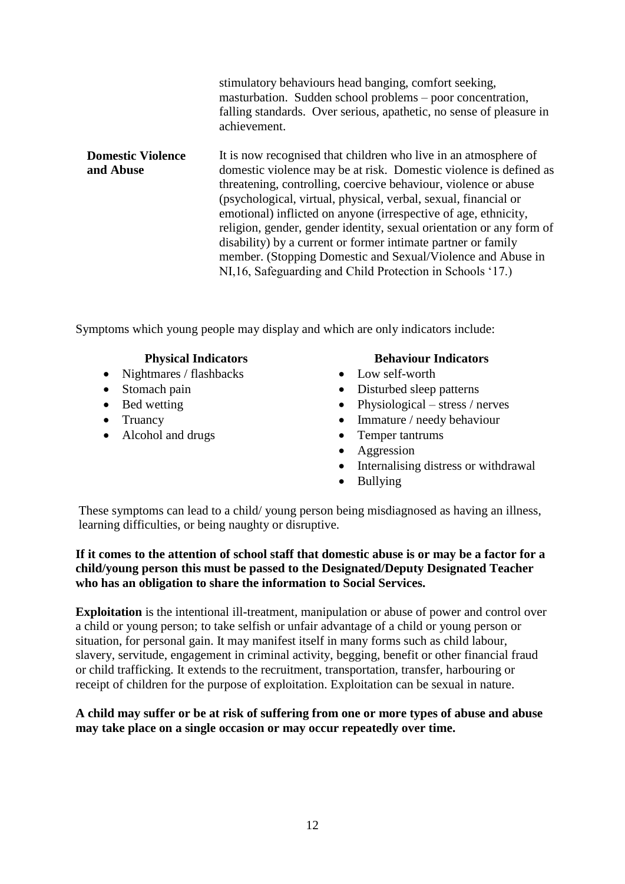|                                       | stimulatory behaviours head banging, comfort seeking,<br>masturbation. Sudden school problems – poor concentration,<br>falling standards. Over serious, apathetic, no sense of pleasure in<br>achievement.                                                                                                                                                                                                                                                                                                                                                                                                          |
|---------------------------------------|---------------------------------------------------------------------------------------------------------------------------------------------------------------------------------------------------------------------------------------------------------------------------------------------------------------------------------------------------------------------------------------------------------------------------------------------------------------------------------------------------------------------------------------------------------------------------------------------------------------------|
| <b>Domestic Violence</b><br>and Abuse | It is now recognised that children who live in an atmosphere of<br>domestic violence may be at risk. Domestic violence is defined as<br>threatening, controlling, coercive behaviour, violence or abuse<br>(psychological, virtual, physical, verbal, sexual, financial or<br>emotional) inflicted on anyone (irrespective of age, ethnicity,<br>religion, gender, gender identity, sexual orientation or any form of<br>disability) by a current or former intimate partner or family<br>member. (Stopping Domestic and Sexual/Violence and Abuse in<br>NI, 16, Safeguarding and Child Protection in Schools '17.) |

Symptoms which young people may display and which are only indicators include:

- Nightmares / flashbacks Low self-worth
- 
- 
- 
- Alcohol and drugs **Temper tantrums**

#### **Physical Indicators Behaviour Indicators**

- 
- Stomach pain **b** Disturbed sleep patterns
- Bed wetting Physiological stress / nerves
- Truancy Immature / needy behaviour
	-
	- Aggression
	- Internalising distress or withdrawal
	- Bullying

These symptoms can lead to a child/ young person being misdiagnosed as having an illness, learning difficulties, or being naughty or disruptive.

#### **If it comes to the attention of school staff that domestic abuse is or may be a factor for a child/young person this must be passed to the Designated/Deputy Designated Teacher who has an obligation to share the information to Social Services.**

**Exploitation** is the intentional ill-treatment, manipulation or abuse of power and control over a child or young person; to take selfish or unfair advantage of a child or young person or situation, for personal gain. It may manifest itself in many forms such as child labour, slavery, servitude, engagement in criminal activity, begging, benefit or other financial fraud or child trafficking. It extends to the recruitment, transportation, transfer, harbouring or receipt of children for the purpose of exploitation. Exploitation can be sexual in nature.

#### **A child may suffer or be at risk of suffering from one or more types of abuse and abuse may take place on a single occasion or may occur repeatedly over time.**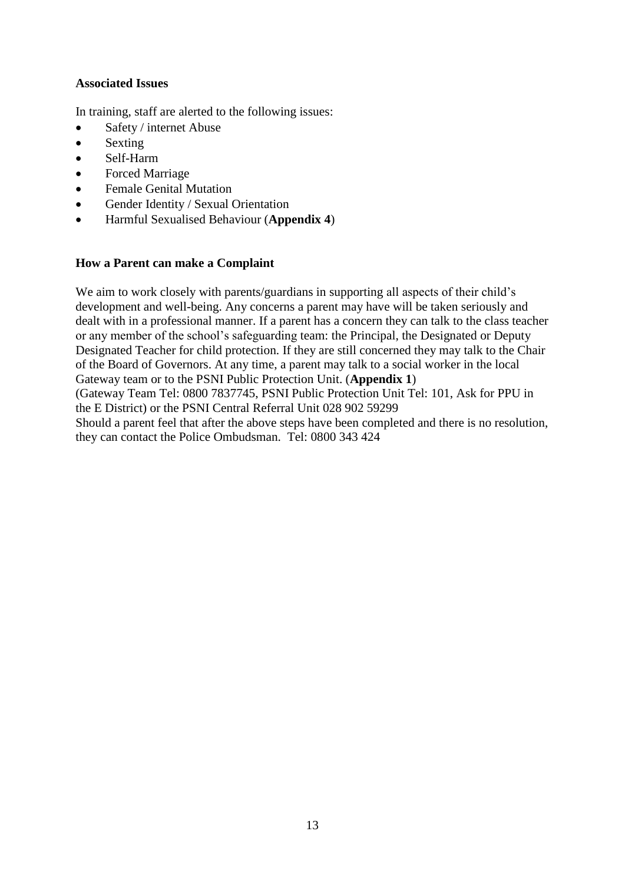#### **Associated Issues**

In training, staff are alerted to the following issues:

- Safety / internet Abuse
- Sexting
- Self-Harm
- Forced Marriage
- Female Genital Mutation
- Gender Identity / Sexual Orientation
- Harmful Sexualised Behaviour (**Appendix 4**)

#### **How a Parent can make a Complaint**

We aim to work closely with parents/guardians in supporting all aspects of their child's development and well-being. Any concerns a parent may have will be taken seriously and dealt with in a professional manner. If a parent has a concern they can talk to the class teacher or any member of the school's safeguarding team: the Principal, the Designated or Deputy Designated Teacher for child protection. If they are still concerned they may talk to the Chair of the Board of Governors. At any time, a parent may talk to a social worker in the local Gateway team or to the PSNI Public Protection Unit. (**Appendix 1**) (Gateway Team Tel: 0800 7837745, PSNI Public Protection Unit Tel: 101, Ask for PPU in the E District) or the PSNI Central Referral Unit 028 902 59299 Should a parent feel that after the above steps have been completed and there is no resolution, they can contact the Police Ombudsman. Tel: 0800 343 424